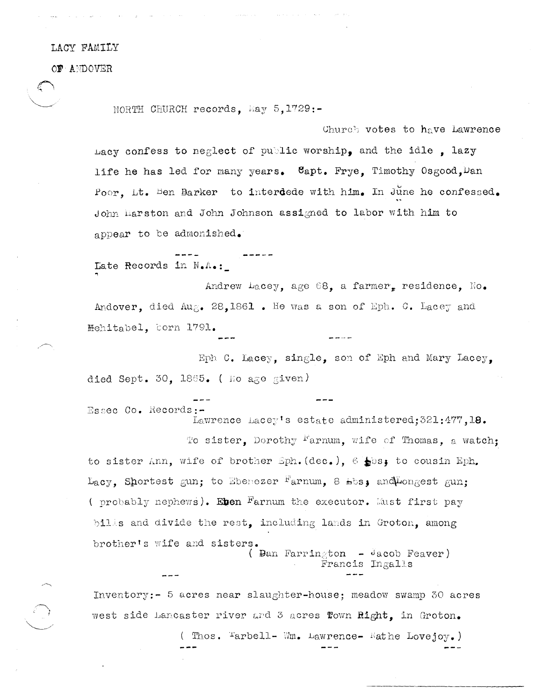## LACY FAMILY

OF ANDOVER

NORTH CHURCH records, May  $5,1729:-$ 

Church votes to have Lawrence Lacy confess to neglect of public worship, and the idle, lazy life he has led for many years. Capt. Frye, Timothy Osgood. Dan Poor, Lt. Ben Barker to interdede with him. In June he confessed. John Marston and John Johnson assigned to labor with him to appear to be admonished.

Late Records in N.A.:

Andrew Lacey, age 68, a farmer, residence, No. Andover, died Aug. 28,1861. He was a son of Eph. C. Lacey and Mehitabel, corn 1791.

Eph C. Lacey, single, son of Eph and Mary Lacey, died Sept. 30, 1865. ( No age given)

Essec Co. Records: Lawrence Lacey's estate administered; 321:477, 18. To sister, Dorothy Farnum, wife of Thomas, a watch: to sister Ann, wife of brother Sph. (dec.),  $6 \pm 0$ s, to cousin Eph. Lacy. Shortest gun; to Ebenezer Farnum. 8 bbs: and Longest gun; ( probably nephews). Einen Farnum the executor. Must first pay bills and divide the rest, including lands in Groton, among brother's wife and sisters. (  $\text{Ban Farrin}_{\mathcal{E}}$ ton - Jacob Feaver)

Inventory:- 5 acres near slaughter-house: meadow swamp 30 acres west side Lancaster river and 3 acres flown Right, in Groton.

( Thos. Farbell- Wm. Lawrence- Wathe Lovejoy.)

Francis Ingalls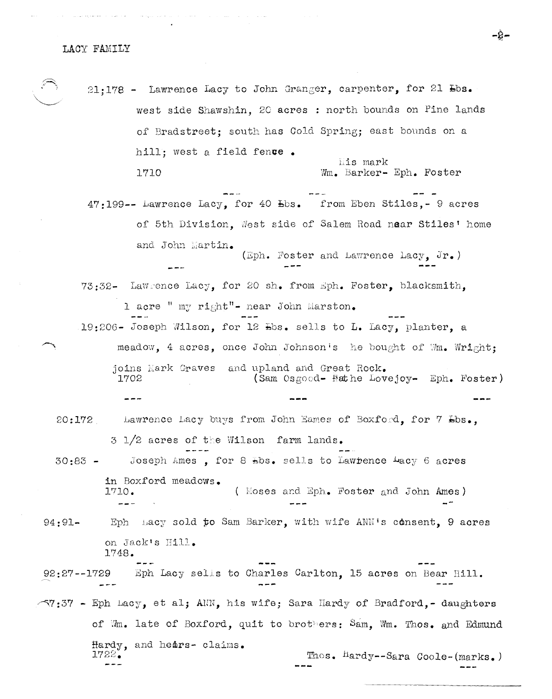$\sim 1000$  km  $^{-1}$  km  $^{-1}$ 

 $\gamma$  , and  $\gamma$  ,  $\gamma$  ,  $\gamma$  , and  $\gamma$ 

21;178 - Lawrence Lacy to John Granger, carpenter, for 21 Lbs. west side Shawshin. 20 acres : north bounds on Pine lands of Bradstreet: south has Cold Spring; east bounds on a hill: west a field fence. his mark 1710 Wm. Barker- Eph. Foster 47:199 -- Lawrence Lacy, for 40 Lbs. from Eben Stiles, - 9 acres of 5th Division, West side of Salem Road near Stiles' home and John Martin. (Eph. Foster and Lawrence Lacy, Jr.) 73:32- Lawrence Lacy, for 20 sh. from sph. Foster, blacksmith. 1 acre " my right"- near John Marston. 19:206- Joseph Wilson, for 12 Lbs. sells to L. Lacy, planter, a meadow, 4 acres, once John Johnson's he bought of Wm. Wright: joins Mark Graves and upland and Great Rock. (Sam Osgood- Nathe Lovejoy- Eph. Foster) 1702 Lawrence Lacy buys from John Eames of Boxford, for 7 Lbs.,  $20:172$ 3 1/2 acres of the Wilson farm lands.

Joseph Ames, for 8 Hbs. sells to Lawrence Lacy 6 acres  $30:83$ in Boxford meadows. 1710. ( Moses and Eph. Foster and John Ames)

Eph hacy sold to Sam Barker, with wife ANN's consent, 9 acres  $94:91$ on Jack's Hill. 1748.

Eph Lacy sells to Charles Carlton, 15 acres on Bear Hill.  $92:27--1729$ 

 $\sim$ 7:37 - Eph Lacy, et al; ANN, his wife; Sara Hardy of Bradford,-daughters of Wm. late of Boxford, quit to brothers: Sam, Wm. Thos. and Edmund Hardy, and hears- claims. 1722. Thos. Hardy--Sara Coole-(marks.)